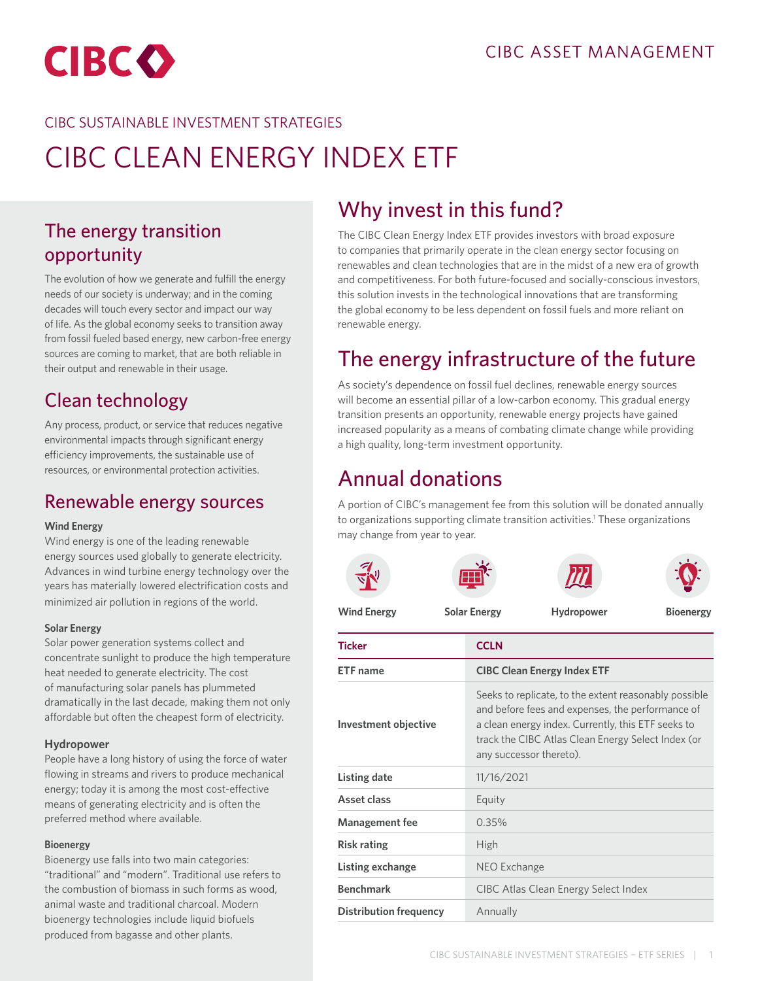<span id="page-0-0"></span>

### CIBC SUSTAINABLE INVESTMENT STRATEGIES

# CIBC CLEAN ENERGY INDEX ETF

### The energy transition opportunity

The evolution of how we generate and fulfill the energy needs of our society is underway; and in the coming decades will touch every sector and impact our way of life. As the global economy seeks to transition away from fossil fueled based energy, new carbon-free energy sources are coming to market, that are both reliable in their output and renewable in their usage.

### Clean technology

Any process, product, or service that reduces negative environmental impacts through significant energy efficiency improvements, the sustainable use of resources, or environmental protection activities.

### Renewable energy sources

#### **Wind Energy**

Wind energy is one of the leading renewable energy sources used globally to generate electricity. Advances in wind turbine energy technology over the years has materially lowered electrification costs and minimized air pollution in regions of the world.

#### **Solar Energy**

Solar power generation systems collect and concentrate sunlight to produce the high temperature heat needed to generate electricity. The cost of manufacturing solar panels has plummeted dramatically in the last decade, making them not only affordable but often the cheapest form of electricity.

#### **Hydropower**

People have a long history of using the force of water flowing in streams and rivers to produce mechanical energy; today it is among the most cost-effective means of generating electricity and is often the preferred method where available.

#### **Bioenergy**

Bioenergy use falls into two main categories: "traditional" and "modern". Traditional use refers to the combustion of biomass in such forms as wood, animal waste and traditional charcoal. Modern bioenergy technologies include liquid biofuels produced from bagasse and other plants.

# Why invest in this fund?

The CIBC Clean Energy Index ETF provides investors with broad exposure to companies that primarily operate in the clean energy sector focusing on renewables and clean technologies that are in the midst of a new era of growth and competitiveness. For both future-focused and socially-conscious investors, this solution invests in the technological innovations that are transforming the global economy to be less dependent on fossil fuels and more reliant on renewable energy.

# The energy infrastructure of the future

As society's dependence on fossil fuel declines, renewable energy sources will become an essential pillar of a low-carbon economy. This gradual energy transition presents an opportunity, renewable energy projects have gained increased popularity as a means of combating climate change while providing a high quality, long-term investment opportunity.

### Annual donations

A portion of CIBC's management fee from this solution will be donated annually to organizations supporting climate transition activities.<sup>1</sup> These organizations may change from year to year.

| <b>Wind Energy</b>            | <b>Solar Energy</b> | Hydropower                                                                                                                                                                                                                                       | <b>Bioenergy</b> |  |
|-------------------------------|---------------------|--------------------------------------------------------------------------------------------------------------------------------------------------------------------------------------------------------------------------------------------------|------------------|--|
| <b>Ticker</b>                 | <b>CCLN</b>         |                                                                                                                                                                                                                                                  |                  |  |
| <b>ETF</b> name               |                     | <b>CIBC Clean Energy Index ETF</b>                                                                                                                                                                                                               |                  |  |
| Investment objective          |                     | Seeks to replicate, to the extent reasonably possible<br>and before fees and expenses, the performance of<br>a clean energy index. Currently, this ETF seeks to<br>track the CIBC Atlas Clean Energy Select Index (or<br>any successor thereto). |                  |  |
| Listing date                  | 11/16/2021          |                                                                                                                                                                                                                                                  |                  |  |
| Asset class                   | Equity              |                                                                                                                                                                                                                                                  |                  |  |
| <b>Management fee</b>         | 0.35%               |                                                                                                                                                                                                                                                  |                  |  |
| <b>Risk rating</b>            | High                |                                                                                                                                                                                                                                                  |                  |  |
| Listing exchange              | NEO Exchange        |                                                                                                                                                                                                                                                  |                  |  |
| <b>Benchmark</b>              |                     | CIBC Atlas Clean Energy Select Index                                                                                                                                                                                                             |                  |  |
| <b>Distribution frequency</b> | Annually            |                                                                                                                                                                                                                                                  |                  |  |